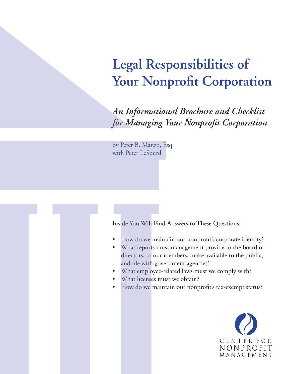# **Legal Responsibilities of Your Nonprofit Corporation**

*An Informational Brochure and Checklist for Managing Your Nonprofi t Corporation*

by Peter B. Manzo, Esq. with Peter LeSourd

Inside You Will Find Answers to These Questions:

- How do we maintain our nonprofit's corporate identity?
- What reports must management provide to the board of directors, to our members, make available to the public, and file with government agencies?
- What employee-related laws must we comply with?
- What licenses must we obtain?
- How do we maintain our nonprofit's tax-exempt status?

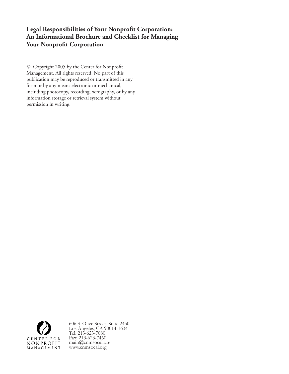## Legal Responsibilities of Your Nonprofit Corporation: **An Informational Brochure and Checklist for Managing Your Nonprofit Corporation**

© Copyright 2005 by the Center for Nonprofit Management. All rights reserved. No part of this publication may be reproduced or transmitted in any form or by any means electronic or mechanical, including photocopy, recording, xerography, or by any information storage or retrieval system without permission in writing.



606 S. Olive Street, Suite 2450 Los Angeles, CA 90014-1634 Tel: 213-623-7080 Fax: 213-623-7460 main@cnmsocal.org www.cnmsocal.org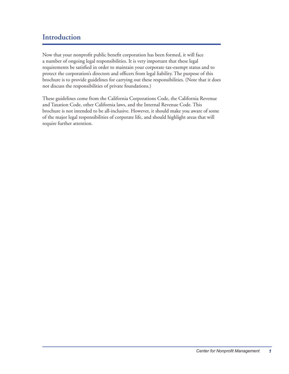# **Introduction**

Now that your nonprofit public benefit corporation has been formed, it will face a number of ongoing legal responsibilities. It is very important that these legal requirements be satisfied in order to maintain your corporate tax-exempt status and to protect the corporation's directors and officers from legal liability. The purpose of this brochure is to provide guidelines for carrying out these responsibilities. (Note that it does not discuss the responsibilities of private foundations.)

These guidelines come from the California Corporations Code, the California Revenue and Taxation Code, other California laws, and the Internal Revenue Code. This brochure is not intended to be all-inclusive. However, it should make you aware of some of the major legal responsibilities of corporate life, and should highlight areas that will require further attention.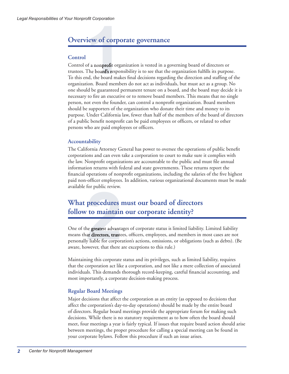# **Overview of corporate governance**

## **Control**

**11.1999 rdeam**<br>**11.1999 rdeam**<br>**11.1999 rdeam**<br>**11.1999 rdeam**<br>**11.1999 rdeam**<br>**11.1999 rdeam**<br>**11.1999 rdeam**<br>**11.1999 rdeam**<br>**11.1999 rdeam**<br>**11.1999 rdeam**<br>**11.1999 rdeam**<br>**11.1999 rdeam** Control of a nonprofit organization is vested in a governing board of directors or trustees. The board's responsibility is to see that the organization fulfills its purpose. To this end, the board makes final decisions regarding the direction and staffing of the organization. Board members do not act as individuals, but must act as a group. No one should be guaranteed permanent tenure on a board, and the board may decide it is necessary to fire an executive or to remove board members. This means that no single person, not even the founder, can control a nonprofi t organization. Board members should be supporters of the organization who donate their time and money to its purpose. Under California law, fewer than half of the members of the board of directors of a public benefit nonprofit can be paid employees or officers, or related to other persons who are paid employees or officers.

## **Accountability**

The California Attorney General has power to oversee the operations of public benefit corporations and can even take a corporation to court to make sure it complies with the law. Nonprofit organizations are accountable to the public and must file annual information returns with federal and state governments. These returns report the financial operations of nonprofit organizations, including the salaries of the five highest paid non-officer employees. In addition, various organizational documents must be made available for public review.

# **What procedures must our board of directors follow to maintain our corporate identity?**

procedures 1<br> **22**<br> **22**<br> **22**<br> **22**<br> **22**<br> **22**<br> **22**<br> **22**<br> **22**<br> **22**<br> **22**<br> **22**<br> **22**<br> **22**<br> **22**<br> **22**<br> **22**<br> **22**<br> **22**<br> **22**<br> **22**<br> **23**<br> **24**<br> **24**<br> **24**<br> **24**<br> **24**<br> **24**<br> **24**<br> **24**<br> **24**<br> **24**<br> **24**<br> **24**<br> **24** One of the greatest advantages of corporate status is limited liability. Limited liability means that directors, trustees, officers, employees, and members in most cases are not personally liable for corporation's actions, omissions, or obligations (such as debts). (Be aware, however, that there are exceptions to this rule.)

Maintaining this corporate status and its privileges, such as limited liability, requires that the corporation act like a corporation, and not like a mere collection of associated individuals. This demands thorough record-keeping, careful financial accounting, and most importantly, a corporate decision-making process.

## **Regular Board Meetings**

Major decisions that affect the corporation as an entity (as opposed to decisions that affect the corporation's day-to-day operations) should be made by the entire board of directors. Regular board meetings provide the appropriate forum for making such decisions. While there is no statutory requirement as to how often the board should meet, four meetings a year is fairly typical. If issues that require board action should arise between meetings, the proper procedure for calling a special meeting can be found in your corporate bylaws. Follow this procedure if such an issue arises.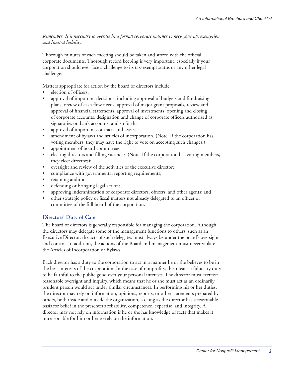*Remember: It is necessary to operate in a formal corporate manner to keep your tax exemption and limited liability.*

Thorough minutes of each meeting should be taken and stored with the official corporate documents. Thorough record keeping is very important, especially if your corporation should ever face a challenge to its tax-exempt status or any other legal challenge.

Matters appropriate for action by the board of directors include:

- election of officers;
- approval of important decisions, including approval of budgets and fundraising plans, review of cash flow needs, approval of major grant proposals, review and approval of financial statements, approval of investments, opening and closing of corporate accounts, designation and change of corporate officers authorized as signatories on bank accounts, and so forth;
- approval of important contracts and leases;
- amendment of bylaws and articles of incorporation. (Note: If the corporation has voting members, they may have the right to vote on accepting such changes.)
- appointment of board committees;
- electing directors and filling vacancies (Note: If the corporation has voting members, they elect directors);
- oversight and review of the activities of the executive director;
- compliance with governmental reporting requirements;
- retaining auditors;
- defending or bringing legal actions;
- approving indemnification of corporate directors, officers, and other agents; and
- other strategic policy or fiscal matters not already delegated to an officer or committee of the full board of the corporation.

## **Directors' Duty of Care**

The board of directors is generally responsible for managing the corporation. Although the directors may delegate some of the management functions to others, such as an Executive Director, the acts of such delegates must always be under the board's oversight and control. In addition, the actions of the Board and management must never violate the Articles of Incorporation or Bylaws.

Each director has a duty to the corporation to act in a manner he or she believes to be in the best interests of the corporation. In the case of nonprofits, this means a fiduciary duty to be faithful to the public good over your personal interests. The director must exercise reasonable oversight and inquiry, which means that he or she must act as an ordinarily prudent person would act under similar circumstances. In performing his or her duties, the director may rely on information, opinions, reports, or other statements prepared by others, both inside and outside the organization, so long as the director has a reasonable basis for belief in the presenter's reliability, competence, expertise, and integrity. A director may not rely on information if he or she has knowledge of facts that makes it unreasonable for him or her to rely on the information.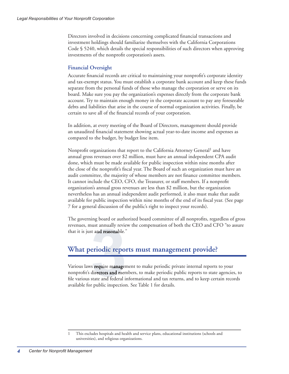Directors involved in decisions concerning complicated financial transactions and investment holdings should familiarize themselves with the California Corporations Code § 5240, which details the special responsibilities of such directors when approving investments of the nonprofit corporation's assets.

## **Financial Oversight**

Accurate financial records are critical to maintaining your nonprofit's corporate identity and tax-exempt status. You must establish a corporate bank account and keep these funds separate from the personal funds of those who manage the corporation or serve on its board. Make sure you pay the organization's expenses directly from the corporate bank account. Try to maintain enough money in the corporate account to pay any foreseeable debts and liabilities that arise in the course of normal organization activities. Finally, be certain to save all of the financial records of your corporation.

In addition, at every meeting of the Board of Directors, management should provide an unaudited financial statement showing actual year-to-date income and expenses as compared to the budget, by budget line item.

Nonprofit organizations that report to the California Attorney General<sup>1</sup> and have annual gross revenues over \$2 million, must have an annual independent CPA audit done, which must be made available for public inspection within nine months after the close of the nonprofit's fiscal year. The Board of such an organization must have an audit committee, the majority of whose members are not finance committee members. It cannot include the CEO, CFO, the Treasurer, or staff members. If a nonprofit organization's annual gross revenues are less than \$2 million, but the organization nevertheless has an annual independent audit performed, it also must make that audit available for public inspection within nine months of the end of its fiscal year. (See page 7 for a general discussion of the public's right to inspect your records).

The governing board or authorized board committee of all nonprofits, regardless of gross revenues, must annually review the compensation of both the CEO and CFO "to assure that it is just and reasonable."

# **What periodic reports must management provide?**

**3** Various laws require management to make periodic private internal reports to your nonprofit's directors and members, to make periodic public reports to state agencies, to file various state and federal informational and tax returns, and to keep certain records available for public inspection. See Table 1 for details.

<sup>1</sup> This excludes hospitals and health and service plans, educational institutions (schools and universities), and religious organizations.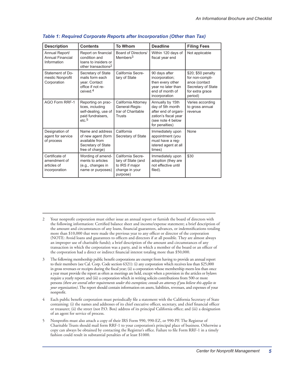| <b>Description</b>                                             | <b>Contents</b>                                                                                     | <b>To Whom</b>                                                                           | <b>Deadline</b>                                                                                                             | <b>Filing Fees</b>                                                                                         |
|----------------------------------------------------------------|-----------------------------------------------------------------------------------------------------|------------------------------------------------------------------------------------------|-----------------------------------------------------------------------------------------------------------------------------|------------------------------------------------------------------------------------------------------------|
| Annual Report/<br>Annual Financial<br>Information              | Report on financial<br>condition and<br>loans to insiders or<br>other transactions <sup>2</sup>     | Board of Directors/<br>$M$ embers $3$                                                    | Within 120 days of<br>fiscal year end                                                                                       | Not applicable                                                                                             |
| Statement of Do-<br>mestic Nonprofit<br>Corporation            | Secretary of State<br>mails form each<br>vear. Contact<br>office if not re-<br>ceived. <sup>4</sup> | California Secre-<br>tary of State                                                       | 90 days after<br>incorporation;<br>then every other<br>year no later than<br>end of month of<br>incorporation               | \$20; \$50 penalty<br>for non-compli-<br>ance (contact<br>Secretary of State<br>for extra grace<br>period) |
| AGO Form RRF-1                                                 | Reporting on prac-<br>tices, including<br>self-dealing, use of<br>paid fundraisers,<br>etc.5        | California Attorney<br>General-Regis-<br>trar of Charitable<br>Trusts                    | Annually by 15th<br>day of 5th month<br>after end of organi-<br>zation's fiscal year<br>(see note 4 below<br>for penalties) | Varies according<br>to gross annual<br>revenue                                                             |
| Designation of<br>agent for service<br>of process              | Name and address<br>of new agent (form<br>available from<br>Secretary of State<br>free of charge)   | California<br>Secretary of State                                                         | Immediately upon<br>appointment (you<br>must have a reg-<br>istered agent at all<br>times)                                  | None                                                                                                       |
| Certificate of<br>amendment of<br>articles of<br>incorporation | Wording of amend-<br>ments to articles<br>(e.g., changes in<br>name or purposes)                    | California Secre-<br>tary of State (and<br>to IRS if major<br>change in your<br>purpose) | Immediately upon<br>adoption (they are<br>not effective until<br>filed).                                                    | \$30                                                                                                       |

#### *Table 1: Required Corporate Reports after Incorporation (Other than Tax)*

- 2 Your nonprofi t corporation must either issue an annual report or furnish the board of directors with the following information: Certified balance sheet and income/expense statement; a brief description of the amount and circumstances of any loans, financial guarantees, advances, or indemnifications totaling more than \$10,000 that were made the previous year to any officer or director of the corporation (NOTE: Avoid loans and guarantees to officers and directors if at all possible. They are almost always an improper use of charitable funds); a brief description of the amount and circumstances of any transaction in which the corporation was a party, and in which a member of the board or an officer of the corporation had a direct or indirect financial interest totaling more than \$50,000.
- 3 The following membership public benefi t corporations are exempt from having to provide an annual report to their members (see Cal. Corp. Code section 6321): (i) any corporation which receives less than \$25,000 in gross revenues or receipts during the fiscal year; (ii) a corporation whose membership meets less than once a year must provide the report as often as meetings are held, except when a provision in the articles or bylaws require a yearly report; and (iii) a corporation which in writing solicits contributions from 500 or more persons *(there are several other requirements under this exemption; consult an attorney if you believe this applies to your organization)*. The report should contain information on assets, liabilities, revenues, and expenses of your nonprofit.
- 4 Each public benefit corporation must periodically file a statement with the California Secretary of State containing: (i) the names and addresses of its chief executive officer, secretary, and chief financial officer or treasurer; (ii) the street (not P.O. Box) address of its principal California office; and (iii) a designation of an agent for service of process.
- 5 Nonprofits must also attach a copy of their IRS Form 990, 990-EZ, or 990-PF. The Registrar of Charitable Trusts should mail form RRF-1 to your corporation's principal place of business. Otherwise a copy can always be obtained by contacting the Registrar's office. Failure to file Form RRF-1 in a timely fashion could result in substantial penalties of at least \$1000.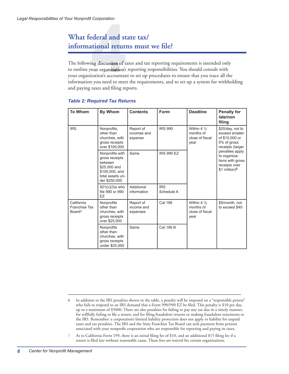# **What federal and state tax/** informational returns must we file?

What federal and state tax/<br>
informational returns must we file?<br>
The following discussion of taxes and tax reporting requirements is intended only<br>
to outline your organization's reporting responsibilities. You should con to outline your organization's reporting responsibilities. You should consult with your organization's accountant to set up procedures to ensure that you trace all the information you need to meet the requirements, and to set up a system for withholding and paying taxes and filing reports.

| <b>To Whom</b>                                    | <b>By Whom</b>                                                                                                      | <b>Contents</b>                     | Form                     | <b>Deadline</b>                                               | <b>Penalty for</b><br>late/non<br>filing                                                                                                                                            |
|---------------------------------------------------|---------------------------------------------------------------------------------------------------------------------|-------------------------------------|--------------------------|---------------------------------------------------------------|-------------------------------------------------------------------------------------------------------------------------------------------------------------------------------------|
| <b>IRS</b>                                        | Nonprofits,<br>other than<br>churches, with<br>gross receipts<br>over \$100,000                                     | Report of<br>incomes and<br>expense | <b>IRS 990</b>           | Within $4\frac{1}{2}$<br>months of<br>close of fiscal<br>year | \$20/day, not to<br>exceed smaller<br>of \$10,000 or<br>5% of gross<br>receipts (larger<br>penalties apply<br>to organiza-<br>tions with gross<br>receipts over<br>\$1 million) $6$ |
|                                                   | Nonprofits with<br>gross receipts<br>between<br>\$25,000 and<br>\$100,000, and<br>total assets un-<br>der \$250,000 | Same                                | <b>IRS 990 EZ</b>        |                                                               |                                                                                                                                                                                     |
|                                                   | $501(c)(3)$ s who<br>file 990 or 990<br>EZ                                                                          | Additional<br>information           | <b>IRS</b><br>Schedule A |                                                               |                                                                                                                                                                                     |
| California<br>Franchise Tax<br>Board <sup>7</sup> | Nonprofits<br>other than<br>churches, with<br>gross receipts<br>over \$25,000                                       | Report of<br>income and<br>expenses | Cal 199                  | Within $4\frac{1}{2}$<br>months of<br>close of fiscal<br>year | \$5/month, not<br>to exceed \$40                                                                                                                                                    |
|                                                   | Nonprofits<br>other than<br>churches, with<br>gross receipts<br>under \$25,000                                      | Same                                | Cal 199 B                |                                                               |                                                                                                                                                                                     |

#### *Table 2: Required Tax Returns*

7 As to California Form 199, there is an initial filing fee of \$10, and an additional \$15 filing fee if a return is filed late without reasonable cause. These fees are waived for certain organizations.

<sup>6</sup> In addition to the IRS penalties shown in the table, a penalty will be imposed on a "responsible person" who fails to respond to an IRS demand that a Form 990/990 EZ be filed. This penalty is \$10 per day, up to a maximum of \$5000. There are also penalties for failing to pay any tax due in a timely manner, for willfully failing to file a return, and for filing fraudulent returns or making fraudulent statements to the IRS. Remember: a corporation's limited liability protection does not apply to liability for unpaid taxes and tax penalties. The IRS and the State Franchise Tax Board can seek payment from persons associated with your nonprofit corporation who are responsible for reporting and paying its taxes.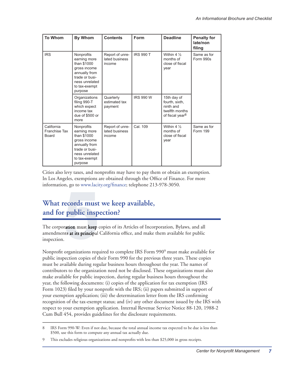| <b>To Whom</b>                       | <b>By Whom</b>                                                                                                                             | <b>Contents</b>                             | Form             | <b>Deadline</b>                                                                             | <b>Penalty for</b><br>late/non<br>filing |
|--------------------------------------|--------------------------------------------------------------------------------------------------------------------------------------------|---------------------------------------------|------------------|---------------------------------------------------------------------------------------------|------------------------------------------|
| <b>IRS</b>                           | Nonprofits<br>earning more<br>than \$1000<br>gross income<br>annually from<br>trade or busi-<br>ness unrelated<br>to tax-exempt<br>purpose | Report of unre-<br>lated business<br>income | <b>IRS 990 T</b> | Within $4\frac{1}{2}$<br>months of<br>close of fiscal<br>year                               | Same as for<br>Form 990s                 |
|                                      | Organizations<br>filing 990-T<br>which expect<br>income tax<br>due of \$500 or<br>more                                                     | Quarterly<br>estimated tax<br>payment       | <b>IRS 990 W</b> | 15th day of<br>fourth. sixth.<br>ninth and<br>twelfth months<br>of fiscal year <sup>8</sup> |                                          |
| California<br>Franchise Tax<br>Board | Nonprofits<br>earning more<br>than \$1000<br>gross income<br>annually from<br>trade or busi-<br>ness unrelated<br>to tax-exempt<br>purpose | Report of unre-<br>lated business<br>income | Cal. 109         | Within $4\frac{1}{2}$<br>months of<br>close of fiscal<br>year                               | Same as for<br>Form 199                  |

Cities also levy taxes, and nonprofits may have to pay them or obtain an exemption. In Los Angeles, exemptions are obtained through the Office of Finance. For more information, go to www.lacity.org/finance; telephone 213-978-3050.

# **What records must we keep available, and for public inspection?**

**5** The corporation must keep copies of its Articles of Incorporation, Bylaws, and all amendments at its principal California office, and make them available for public<br>. inspection.

Nonprofit organizations required to complete IRS Form 990<sup>9</sup> must make available for public inspection copies of their Form 990 for the previous three years. These copies must be available during regular business hours throughout the year. The names of contributors to the organization need not be disclosed. These organizations must also make available for public inspection, during regular business hours throughout the year, the following documents: (i) copies of the application for tax exemption (IRS Form 1023) filed by your nonprofit with the IRS; (ii) papers submitted in support of your exemption application; (iii) the determination letter from the IRS confirming recognition of the tax-exempt status; and (iv) any other document issued by the IRS with respect to your exemption application. Internal Revenue Service Notice 88-120, 1988-2 Cum Bull 454, provides guidelines for the disclosure requirements.

<sup>8</sup> IRS Form 990-W: Even if not due, because the total annual income tax expected to be due is less than \$500, use this form to compute any annual tax actually due.

<sup>9</sup> This excludes religious organizations and nonprofits with less than \$25,000 in gross receipts.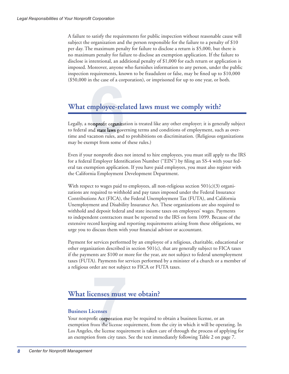A failure to satisfy the requirements for public inspection without reasonable cause will subject the organization and the person responsible for the failure to a penalty of \$10 per day. The maximum penalty for failure to disclose a return is \$5,000, but there is no maximum penalty for failure to disclose an exemption application. If the failure to disclose is intentional, an additional penalty of \$1,000 for each return or application is imposed. Moreover, anyone who furnishes information to any person, under the public inspection requirements, known to be fraudulent or false, may be fined up to  $$10,000$ (\$50,000 in the case of a corporation), or imprisoned for up to one year, or both.

# **What employee-related laws must we comply with?**

**employee-rel**<br> **comprofit organiza**<br> **and state laws goverantion rules, and<br>
empt from some of** Legally, a nonprofit organization is treated like any other employer; it is generally subject to federal and state laws governing terms and conditions of employment, such as overtime and vacation rules, and to prohibitions on discrimination. (Religious organizations may be exempt from some of these rules.)

Even if your nonprofi t does not intend to hire employees, you must still apply to the IRS for a federal Employer Identification Number ("EIN") by filing an SS-4 with your federal tax exemption application. If you have paid employees, you must also register with the California Employment Development Department.

With respect to wages paid to employees, all non-religious section  $501(c)(3)$  organizations are required to withhold and pay taxes imposed under the Federal Insurance Contributions Act (FICA), the Federal Unemployment Tax (FUTA), and California Unemployment and Disability Insurance Act. These organizations are also required to withhold and deposit federal and state income taxes on employees' wages. Payments to independent contractors must be reported to the IRS on form 1099. Because of the extensive record keeping and reporting requirements arising from these obligations, we urge you to discuss them with your financial advisor or accountant.

Payment for services performed by an employee of a religious, charitable, educational or other organization described in section 501(c), that are generally subject to FICA taxes if the payments are \$100 or more for the year, are not subject to federal unemployment taxes (FUTA). Payments for services performed by a minister of a church or a member of a religious order are not subject to FICA or FUTA taxes.

# **What licenses must we obtain?**

## **Business Licenses**

**1744 CONTERNATE:**<br> **7744 CONTERNATE:**<br> **7744 CONTERNATE:**<br> **7744 CONTERNATE:**<br> **7744 CONTERNATE:**<br> **7744 CONTERNATE:**<br> **77445 CONTERNATE:**<br> **77445 CONTERNATE:** Your nonprofit corporation may be required to obtain a business license, or an exemption from the license requirement, from the city in which it will be operating. In Los Angeles, the license requirement is taken care of through the process of applying for an exemption from city taxes. See the text immediately following Table 2 on page 7.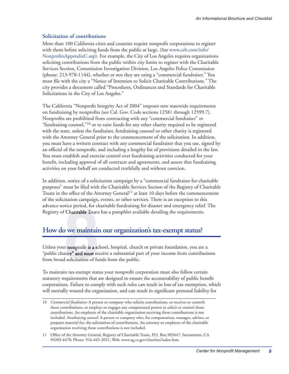## **Solicitation of contributions**

More than 100 California cities and counties require nonprofit corporations to register with them before soliciting funds from the public at large. (See www.ceb.com/info/ NonprofitsAppendixC.asp). For example, the City of Los Angeles requires organizations soliciting contributions from the public within city limits to register with the Charitable Services Section, Commission Investigation Division, Los Angeles Police Commission (phone: 213-978-1144), whether or not they are using a "commercial fundraiser." You must file with the city a "Notice of Intention to Solicit Charitable Contributions." The city provides a document called "Procedures, Ordinances and Standards for Charitable Solicitations in the City of Los Angeles."

The California "Nonprofit Integrity Act of 2004" imposes new statewide requirements on fundraising by nonprofits (see Cal. Gov. Code sections 12581 through 12599.7). Nonprofits are prohibited from contracting with any "commercial fundraiser" or "fundraising counsel,"10 or to raise funds for any other charity required to be registered with the state, unless the fundraiser, fundraising counsel or other charity is registered with the Attorney General prior to the commencement of the solicitation. In addition, you must have a written contract with any commercial fundraiser that you use, signed by an official of the nonprofit, and including a lengthy list of provisions detailed in the law. You must establish and exercise control over fundraising activities conducted for your benefit, including approval of all contracts and agreements, and assure that fundraising activities on your behalf are conducted truthfully and without coercion.

In addition, notice of a solicitation campaign by a "commercial fundraiser for charitable purposes" must be filed with the Charitable Services Section of the Registry of Charitable Trusts in the office of the Attorney General<sup>11</sup> at least 10 days before the commencement of the solicitation campaign, events, or other services. There is an exception to this advance notice period, for charitable fundraising for disaster and emergency relief. The Registry of Charitable Trusts has a pamphlet available detailing the requirements.

# **How do we maintain our organization's tax-exempt status?**

**8** Charitable Trusts<br> **8** We maintain<br>
Ir nonprofit is a scl<br>
arity" and must rec<br>
d solicitation of ful<br>
in tax-exempt statu Unless your nonprofit is a school, hospital, church or private foundation, you are a "public charity" and must receive a substantial part of your income from contributions from broad solicitation of funds from the public.

To maintain tax-exempt status your nonprofit corporation must also follow certain statutory requirements that are designed to ensure the accountability of public benefit corporations. Failure to comply with such rules can result in loss of tax exemption, which will mortally wound the organization, and can result in significant personal liability for

<sup>10</sup> *Commercial fundraiser*: A person or company who solicits contributions, or receives or controls those contributions, or employs or engages any compensated person to solicit or control those contributions. An employee of the charitable organization receiving those contributions is not included. *Fundraising counsel*: A person or company who, for compensation, manages, advises, or prepares material for, the solicitation of contributions. An attorney or employee of the charitable organization receiving those contributions is not included.

<sup>11</sup> Office of the Attorney General, Registry of Charitable Trusts, P.O. Box 903447, Sacramento, CA 94203-4470; Phone: 916-445-2021; Web: www.ag.ca.gov/charities/index.htm.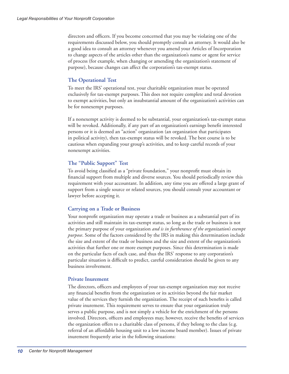directors and officers. If you become concerned that you may be violating one of the requirements discussed below, you should promptly consult an attorney. It would also be a good idea to consult an attorney whenever you amend your Articles of Incorporation to change aspects of the articles other than the organization's name or agent for service of process (for example, when changing or amending the organization's statement of purpose), because changes can affect the corporation's tax-exempt status.

### **The Operational Test**

To meet the IRS' operational test, your charitable organization must be operated exclusively for tax-exempt purposes. This does not require complete and total devotion to exempt activities, but only an insubstantial amount of the organization's activities can be for nonexempt purposes.

If a nonexempt activity is deemed to be substantial, your organization's tax-exempt status will be revoked. Additionally, if any part of an organization's earnings benefit interested persons or it is deemed an "action" organization (an organization that participates in political activity), then tax-exempt status will be revoked. The best course is to be cautious when expanding your group's activities, and to keep careful records of your nonexempt activities.

### **The "Public Support" Test**

To avoid being classified as a "private foundation," your nonprofit must obtain its financial support from multiple and diverse sources. You should periodically review this requirement with your accountant. In addition, any time you are offered a large grant of support from a single source or related sources, you should consult your accountant or lawyer before accepting it.

### **Carrying on a Trade or Business**

Your nonprofit organization may operate a trade or business as a substantial part of its activities and still maintain its tax-exempt status, so long as the trade or business is not the primary purpose of your organization *and is in furtherance of the organization's exempt purpose*. Some of the factors considered by the IRS in making this determination include the size and extent of the trade or business and the size and extent of the organization's activities that further one or more exempt purposes. Since this determination is made on the particular facts of each case, and thus the IRS' response to any corporation's particular situation is difficult to predict, careful consideration should be given to any business involvement.

### **Private Inurement**

The directors, officers and employees of your tax-exempt organization may not receive any financial benefits from the organization or its activities beyond the fair market value of the services they furnish the organization. The receipt of such benefits is called private inurement. This requirement serves to ensure that your organization truly serves a public purpose, and is not simply a vehicle for the enrichment of the persons involved. Directors, officers and employees may, however, receive the benefits of services the organization offers to a charitable class of persons, if they belong to the class (e.g. referral of an affordable housing unit to a low income board member). Issues of private inurement frequently arise in the following situations: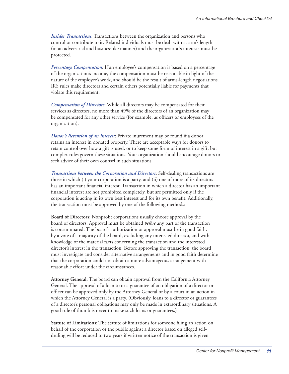*Insider Transactions*: Transactions between the organization and persons who control or contribute to it. Related individuals must be dealt with at arm's length (in an adversarial and businesslike manner) and the organization's interests must be protected.

*Percentage Compensation*: If an employee's compensation is based on a percentage of the organization's income, the compensation must be reasonable in light of the nature of the employee's work, and should be the result of arms-length negotiations. IRS rules make directors and certain others potentially liable for payments that violate this requirement.

*Compensation of Directors*: While all directors may be compensated for their services as directors, no more than 49% of the directors of an organization may be compensated for any other service (for example, as officers or employees of the organization).

*Donor's Retention of an Interest*: Private inurement may be found if a donor retains an interest in donated property. There are acceptable ways for donors to retain control over how a gift is used, or to keep some form of interest in a gift, but complex rules govern these situations. Your organization should encourage donors to seek advice of their own counsel in such situations.

*Transactions between the Corporation and Directors*: Self-dealing transactions are those in which (i) your corporation is a party, and (ii) one of more of its directors has an important financial interest. Transaction in which a director has an important financial interest are not prohibited completely, but are permitted only if the corporation is acting in its own best interest and for its own benefit. Additionally, the transaction must be approved by one of the following methods:

**Board of Directors:** Nonprofit corporations usually choose approval by the board of directors. Approval must be obtained *before* any part of the transaction is consummated. The board's authorization or approval must be in good faith, by a vote of a majority of the board, excluding any interested director, and with knowledge of the material facts concerning the transaction and the interested director's interest in the transaction. Before approving the transaction, the board must investigate and consider alternative arrangements and in good faith determine that the corporation could not obtain a more advantageous arrangement with reasonable effort under the circumstances.

**Attorney General**: The board can obtain approval from the California Attorney General. The approval of a loan to or a guarantee of an obligation of a director or officer can be approved only by the Attorney General or by a court in an action in which the Attorney General is a party. (Obviously, loans to a director or guarantees of a director's personal obligations may only be made in extraordinary situations. A good rule of thumb is never to make such loans or guarantees.)

**Statute of Limitations:** The statute of limitations for someone filing an action on behalf of the corporation or the public against a director based on alleged selfdealing will be reduced to two years if written notice of the transaction is given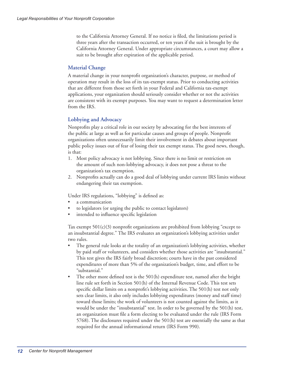to the California Attorney General. If no notice is filed, the limitations period is three years after the transaction occurred, or ten years if the suit is brought by the California Attorney General. Under appropriate circumstances, a court may allow a suit to be brought after expiration of the applicable period.

## **Material Change**

A material change in your nonprofit organization's character, purpose, or method of operation may result in the loss of its tax-exempt status. Prior to conducting activities that are different from those set forth in your Federal and California tax-exempt applications, your organization should seriously consider whether or not the activities are consistent with its exempt purposes. You may want to request a determination letter from the IRS.

## **Lobbying and Advocacy**

Nonprofits play a critical role in our society by advocating for the best interests of the public at large as well as for particular causes and groups of people. Nonprofit organizations often unnecessarily limit their involvement in debates about important public policy issues out of fear of losing their tax exempt status. The good news, though, is that:

- 1. Most policy advocacy is not lobbying. Since there is no limit or restriction on the amount of such non-lobbying advocacy, it does not pose a threat to the organization's tax exemption.
- 2. Nonprofits actually can do a good deal of lobbying under current IRS limits without endangering their tax exemption.

Under IRS regulations, "lobbying" is defined as:

- a communication
- to legislators (or urging the public to contact legislators)
- intended to influence specific legislation

Tax exempt  $501(c)(3)$  nonprofit organizations are prohibited from lobbying "except to an insubstantial degree." The IRS evaluates an organization's lobbying activities under two rules.

- The general rule looks at the totality of an organization's lobbying activities, whether by paid staff or volunteers, and considers whether those activities are "insubstantial." This test gives the IRS fairly broad discretion; courts have in the past considered expenditures of more than 5% of the organization's budget, time, and effort to be "substantial."
- The other more defined test is the  $501(h)$  expenditure test, named after the bright line rule set forth in Section 501(h) of the Internal Revenue Code. This test sets specific dollar limits on a nonprofit's lobbying activities. The  $501(h)$  test not only sets clear limits, it also only includes lobbying expenditures (money and staff time) toward those limits; the work of volunteers is not counted against the limits, as it would be under the "insubstantial" test. In order to be governed by the 501(h) test, an organization must file a form electing to be evaluated under the rule (IRS Form 5768). The disclosures required under the 501(h) test are essentially the same as that required for the annual informational return (IRS Form 990).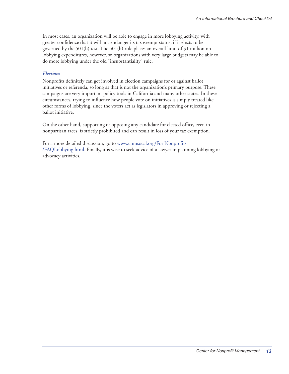In most cases, an organization will be able to engage in more lobbying activity, with greater confidence that it will not endanger its tax exempt status, if it elects to be governed by the 501(h) test. The 501(h) rule places an overall limit of \$1 million on lobbying expenditures, however, so organizations with very large budgets may be able to do more lobbying under the old "insubstantiality" rule.

#### *Elections*

Nonprofits definitely can get involved in election campaigns for or against ballot initiatives or referenda, so long as that is not the organization's primary purpose. These campaigns are very important policy tools in California and many other states. In these circumstances, trying to influence how people vote on initiatives is simply treated like other forms of lobbying, since the voters act as legislators in approving or rejecting a ballot initiative.

On the other hand, supporting or opposing any candidate for elected office, even in nonpartisan races, is strictly prohibited and can result in loss of your tax exemption.

For a more detailed discussion, go to www.cnmsocal.org/For Nonprofits /FAQLobbying.html. Finally, it is wise to seek advice of a lawyer in planning lobbying or advocacy activities.